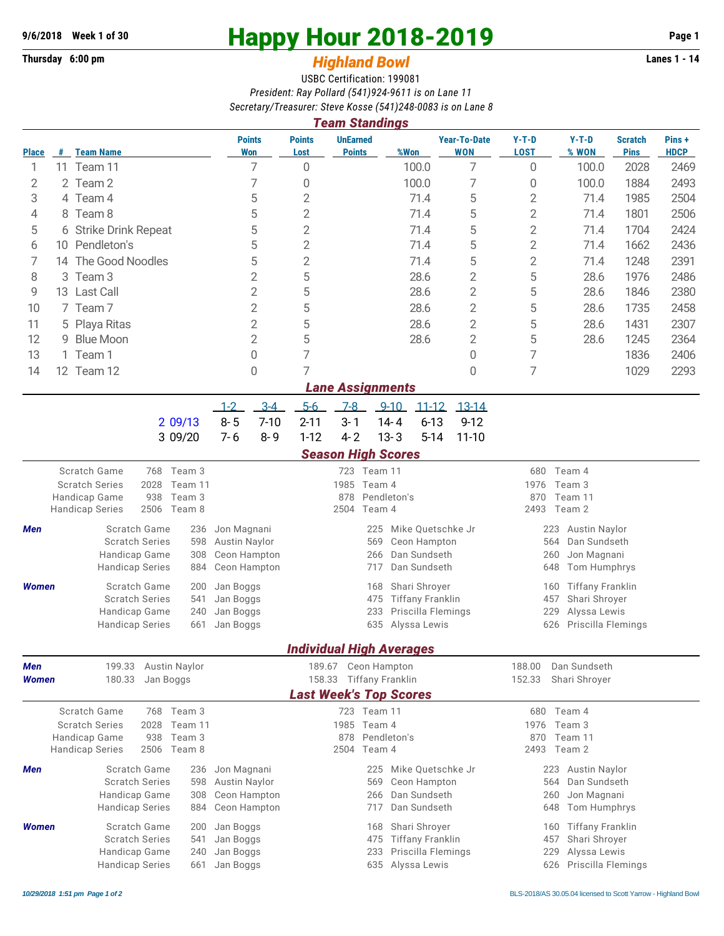## **Thursday 6:00 pm** *Highland Bowl*

## **9/6/2018** Week 1 of 30<br> **Happy Hour 2018-2019** Page 1<br> **Highland Rowl Lanes 1 - 14**<br>
Lanes 1 - 14

## USBC Certification: 199081 *President: Ray Pollard (541)924-9611 is on Lane 11 Secretary/Treasurer: Steve Kosse (541)248-0083 is on Lane 8*

|              | <b>Team Standings</b>   |                                                                            |                                                                  |                                                        |                                  |                                    |                                                    |                                                  |                                |                               |                      |  |  |
|--------------|-------------------------|----------------------------------------------------------------------------|------------------------------------------------------------------|--------------------------------------------------------|----------------------------------|------------------------------------|----------------------------------------------------|--------------------------------------------------|--------------------------------|-------------------------------|----------------------|--|--|
| <b>Place</b> | #                       | <b>Team Name</b>                                                           | <b>Points</b><br>Won                                             | <b>Points</b><br>Lost                                  | <b>UnEarned</b><br><b>Points</b> | %Won                               | <b>Year-To-Date</b><br><b>WON</b>                  | $Y-T-D$<br><b>LOST</b>                           | $Y-T-D$<br>% WON               | <b>Scratch</b><br><b>Pins</b> | Pins+<br><b>HDCP</b> |  |  |
| 1            |                         | 11 Team 11                                                                 | 7                                                                | $\mathbf 0$                                            |                                  | 100.0                              | 7                                                  | $\overline{0}$                                   | 100.0                          | 2028                          | 2469                 |  |  |
| 2            |                         | 2 Team 2                                                                   | 7                                                                |                                                        |                                  | 100.0                              | 7                                                  | 0                                                | 100.0                          | 1884                          | 2493                 |  |  |
| 3            |                         | 4 Team 4                                                                   | 5                                                                | $\overline{2}$                                         |                                  | 71.4                               | 5                                                  | 2                                                | 71.4                           | 1985                          | 2504                 |  |  |
| 4            |                         | 5<br>8 Team 8                                                              |                                                                  | $\overline{2}$                                         |                                  | 71.4                               | 5                                                  | $\overline{2}$                                   | 71.4                           | 1801                          | 2506                 |  |  |
| 5            | 6 Strike Drink Repeat   |                                                                            | 5                                                                | $\overline{2}$                                         |                                  | 71.4                               | 5                                                  | 2                                                | 71.4                           | 1704                          | 2424                 |  |  |
| 6            |                         | 10 Pendleton's                                                             | 5                                                                | $\overline{2}$                                         |                                  | 71.4                               | 5                                                  | $\overline{2}$                                   | 71.4                           | 1662                          | 2436                 |  |  |
| 7            |                         | 14 The Good Noodles                                                        | 5                                                                | $\overline{2}$                                         |                                  | 71.4                               | 5                                                  | $\overline{2}$                                   | 71.4                           | 1248                          | 2391                 |  |  |
| 8<br>3       |                         | Team <sub>3</sub>                                                          | $\overline{2}$                                                   | 5                                                      |                                  | 28.6                               | $\overline{2}$                                     | 5                                                | 28.6                           | 1976                          | 2486                 |  |  |
| 9            |                         | 13 Last Call                                                               | $\overline{2}$                                                   | 5                                                      |                                  | 28.6                               | $\overline{2}$                                     | 5                                                | 28.6                           | 1846                          | 2380                 |  |  |
| 10           | 7 Team 7                |                                                                            | $\overline{2}$                                                   | 5                                                      |                                  | 28.6                               | $\overline{2}$                                     | 5                                                | 28.6                           | 1735                          | 2458                 |  |  |
| 11           | 5 Playa Ritas           |                                                                            | $\mathbf{2}$                                                     | 5                                                      |                                  | 28.6                               | $\overline{2}$                                     | 5                                                | 28.6                           | 1431                          | 2307                 |  |  |
| 12           | 9                       | $\sqrt{2}$<br><b>Blue Moon</b>                                             |                                                                  | 5                                                      |                                  | 28.6                               | $\overline{2}$                                     | 5                                                | 28.6                           | 1245                          | 2364                 |  |  |
| 13           |                         | 1 Team 1                                                                   | $\overline{0}$                                                   | 7                                                      |                                  |                                    | 0                                                  | 7                                                |                                | 1836                          | 2406                 |  |  |
| 14           |                         | 12 Team 12                                                                 | $\overline{0}$                                                   | 7                                                      |                                  |                                    | $\Omega$                                           | 7                                                |                                | 1029                          | 2293                 |  |  |
|              | <b>Lane Assignments</b> |                                                                            |                                                                  |                                                        |                                  |                                    |                                                    |                                                  |                                |                               |                      |  |  |
|              |                         |                                                                            | $3-4$<br>$1-2$                                                   | $5-6$                                                  | $7-8$                            | $9 - 10$<br>$11 - 12$              | $13 - 14$                                          |                                                  |                                |                               |                      |  |  |
|              |                         | 2 09/13                                                                    | $8 - 5$<br>$7 - 10$                                              | $2 - 11$                                               | $3 - 1$                          | $6 - 13$<br>$14 - 4$               | $9 - 12$                                           |                                                  |                                |                               |                      |  |  |
|              |                         | 3 09/20                                                                    | $7 - 6$<br>$8 - 9$                                               | $1 - 12$                                               | $4 - 2$                          | $13 - 3$<br>$5 - 14$               | $11 - 10$                                          |                                                  |                                |                               |                      |  |  |
|              |                         |                                                                            |                                                                  |                                                        | <b>Season High Scores</b>        |                                    |                                                    |                                                  |                                |                               |                      |  |  |
|              |                         | <b>Scratch Game</b><br>768 Team 3                                          | 723 Team 11                                                      |                                                        |                                  |                                    | Team 4<br>680                                      |                                                  |                                |                               |                      |  |  |
|              |                         | <b>Scratch Series</b><br>Team 11<br>2028                                   | 1985 Team 4<br>878<br>Pendleton's                                |                                                        |                                  |                                    | 1976<br>Team 3<br>870<br>Team 11                   |                                                  |                                |                               |                      |  |  |
|              |                         | Handicap Game<br>938<br>Team 3<br>2506<br>Team 8<br><b>Handicap Series</b> |                                                                  | Team 4<br>2504                                         |                                  |                                    |                                                    | 2493<br>Team 2                                   |                                |                               |                      |  |  |
| Men          |                         | Scratch Game<br>236                                                        | Jon Magnani                                                      |                                                        | 225                              |                                    |                                                    |                                                  | <b>Austin Naylor</b>           |                               |                      |  |  |
|              |                         | <b>Scratch Series</b><br>598                                               | Mike Quetschke Jr<br><b>Austin Naylor</b><br>Ceon Hampton<br>569 |                                                        |                                  |                                    |                                                    |                                                  | 223<br>Dan Sundseth<br>564     |                               |                      |  |  |
|              |                         | Handicap Game<br>308                                                       | Ceon Hampton                                                     |                                                        | 266                              | Dan Sundseth                       |                                                    | 260<br>Jon Magnani                               |                                |                               |                      |  |  |
|              |                         | <b>Handicap Series</b><br>884                                              | Ceon Hampton                                                     |                                                        | 717                              | Dan Sundseth                       |                                                    | 648<br>Tom Humphrys                              |                                |                               |                      |  |  |
| <b>Women</b> |                         | Scratch Game<br>200                                                        | Jan Boggs                                                        | Shari Shroyer<br>168                                   |                                  |                                    |                                                    |                                                  | <b>Tiffany Franklin</b><br>160 |                               |                      |  |  |
|              |                         | <b>Scratch Series</b><br>541                                               | Jan Boggs                                                        |                                                        | 475                              | <b>Tiffany Franklin</b>            |                                                    | Shari Shroyer<br>457                             |                                |                               |                      |  |  |
|              |                         | Handicap Game<br>240<br><b>Handicap Series</b><br>661                      | Jan Boggs<br>Jan Boggs                                           |                                                        | 233                              | Priscilla Flemings<br>Alyssa Lewis |                                                    | 229<br>Alyssa Lewis<br>Priscilla Flemings<br>626 |                                |                               |                      |  |  |
|              |                         | 635                                                                        |                                                                  |                                                        |                                  |                                    |                                                    |                                                  |                                |                               |                      |  |  |
|              |                         |                                                                            |                                                                  |                                                        |                                  | <b>Individual High Averages</b>    |                                                    |                                                  |                                |                               |                      |  |  |
| Men          |                         | 199.33 Austin Naylor                                                       |                                                                  | 189.67 Ceon Hampton                                    |                                  |                                    |                                                    | 188.00<br>Dan Sundseth                           |                                |                               |                      |  |  |
| Women        |                         | 180.33<br>Jan Boggs                                                        |                                                                  | 158.33                                                 |                                  | <b>Tiffany Franklin</b>            |                                                    | 152.33                                           | Shari Shroyer                  |                               |                      |  |  |
|              |                         |                                                                            |                                                                  |                                                        |                                  | <b>Last Week's Top Scores</b>      |                                                    |                                                  |                                |                               |                      |  |  |
|              |                         | 768 Team 3<br>Scratch Game                                                 |                                                                  | 723 Team 11<br>1985 Team 4                             |                                  |                                    |                                                    |                                                  | 680 Team 4                     |                               |                      |  |  |
|              |                         | <b>Scratch Series</b><br>2028<br>Team 11<br>Handicap Game<br>938<br>Team 3 |                                                                  |                                                        | 878                              | Pendleton's                        |                                                    | 1976<br>Team 3<br>870<br>Team 11                 |                                |                               |                      |  |  |
|              |                         | 2506<br><b>Handicap Series</b><br>Team 8                                   |                                                                  |                                                        | 2504<br>Team 4                   |                                    |                                                    | 2493<br>Team 2                                   |                                |                               |                      |  |  |
|              |                         | Scratch Game<br>236                                                        | 225<br>Mike Ouetschke Jr                                         |                                                        |                                  |                                    |                                                    |                                                  |                                |                               |                      |  |  |
| Men          |                         | <b>Scratch Series</b><br>598                                               | Jon Magnani<br>Austin Naylor                                     | 569<br>Ceon Hampton                                    |                                  |                                    | <b>Austin Naylor</b><br>223<br>Dan Sundseth<br>564 |                                                  |                                |                               |                      |  |  |
|              |                         | Handicap Game<br>308                                                       | Ceon Hampton                                                     |                                                        | Dan Sundseth<br>266              |                                    |                                                    | Jon Magnani<br>260                               |                                |                               |                      |  |  |
|              |                         | <b>Handicap Series</b><br>884                                              | Ceon Hampton                                                     |                                                        | 717                              | Dan Sundseth                       |                                                    | 648                                              | Tom Humphrys                   |                               |                      |  |  |
| <b>Women</b> |                         | Scratch Game<br>200                                                        | Jan Boggs                                                        |                                                        | 168                              | Shari Shroyer                      |                                                    | 160                                              | <b>Tiffany Franklin</b>        |                               |                      |  |  |
|              |                         | Scratch Series<br>541                                                      | Jan Boggs                                                        | <b>Tiffany Franklin</b><br>Shari Shroyer<br>475<br>457 |                                  |                                    |                                                    |                                                  |                                |                               |                      |  |  |
|              |                         | Handicap Game<br>240                                                       | Jan Boggs                                                        |                                                        | 233                              | Priscilla Flemings                 |                                                    | 229                                              | Alyssa Lewis                   |                               |                      |  |  |
|              |                         | Alyssa Lewis<br><b>Handicap Series</b><br>635<br>Jan Boggs<br>661          |                                                                  |                                                        |                                  |                                    |                                                    | 626                                              | Priscilla Flemings             |                               |                      |  |  |